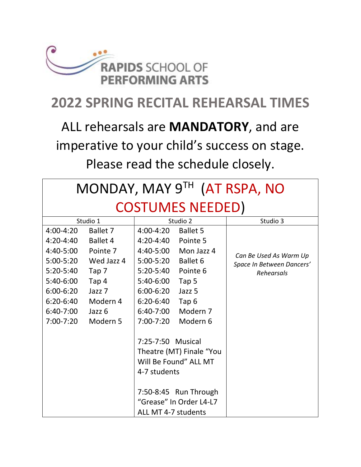

#### **2022 SPRING RECITAL REHEARSAL TIMES**

## ALL rehearsals are **MANDATORY**, and are imperative to your child's success on stage. Please read the schedule closely.

| MONDAY, MAY 9TH (AT RSPA, NO |                   |                                                                        |                  |                           |  |  |
|------------------------------|-------------------|------------------------------------------------------------------------|------------------|---------------------------|--|--|
| <b>COSTUMES NEEDED)</b>      |                   |                                                                        |                  |                           |  |  |
| Studio 1                     |                   | Studio 2                                                               |                  | Studio 3                  |  |  |
| 4:00-4:20                    | Ballet 7          | $4:00 - 4:20$                                                          | <b>Ballet 5</b>  |                           |  |  |
| $4:20 - 4:40$                | <b>Ballet 4</b>   | $4:20 - 4:40$                                                          | Pointe 5         |                           |  |  |
| 4:40-5:00                    | Pointe 7          | 4:40-5:00                                                              | Mon Jazz 4       | Can Be Used As Warm Up    |  |  |
| $5:00 - 5:20$                | Wed Jazz 4        | $5:00 - 5:20$                                                          | Ballet 6         | Space In Between Dancers' |  |  |
| 5:20-5:40                    | Tap 7             | $5:20-5:40$                                                            | Pointe 6         | Rehearsals                |  |  |
| 5:40-6:00                    | Tap 4             | 5:40-6:00                                                              | Tap 5            |                           |  |  |
| $6:00 - 6:20$                | Jazz <sub>7</sub> | $6:00 - 6:20$                                                          | Jazz 5           |                           |  |  |
| 6:20-6:40                    | Modern 4          | 6:20-6:40                                                              | Tap <sub>6</sub> |                           |  |  |
| 6:40-7:00                    | Jazz 6            | $6:40-7:00$                                                            | Modern 7         |                           |  |  |
| 7:00-7:20                    | Modern 5          | $7:00 - 7:20$                                                          | Modern 6         |                           |  |  |
|                              |                   | 7:25-7:50 Musical<br>Theatre (MT) Finale "You<br>Will Be Found" ALL MT |                  |                           |  |  |
|                              |                   | 4-7 students<br>7:50-8:45 Run Through                                  |                  |                           |  |  |
|                              |                   | "Grease" In Order L4-L7                                                |                  |                           |  |  |
|                              |                   | ALL MT 4-7 students                                                    |                  |                           |  |  |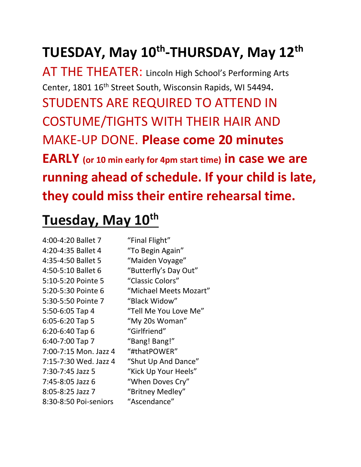# **TUESDAY, May 10th -THURSDAY, May 12th**

AT THE THEATER: Lincoln High School's Performing Arts Center, 1801 16th Street South, Wisconsin Rapids, WI 54494**.**  STUDENTS ARE REQUIRED TO ATTEND IN COSTUME/TIGHTS WITH THEIR HAIR AND MAKE-UP DONE. **Please come 20 minutes EARLY (or 10 min early for 4pm start time) in case we are running ahead of schedule. If your child is late, they could miss their entire rehearsal time.**

#### **Tuesday, May 10th**

| "Final Flight"         |
|------------------------|
| "To Begin Again"       |
| "Maiden Voyage"        |
| "Butterfly's Day Out"  |
| "Classic Colors"       |
| "Michael Meets Mozart" |
| "Black Widow"          |
| "Tell Me You Love Me"  |
| "My 20s Woman"         |
| "Girlfriend"           |
| "Bang! Bang!"          |
| "#thatPOWER"           |
| "Shut Up And Dance"    |
| "Kick Up Your Heels"   |
| "When Doves Cry"       |
| "Britney Medley"       |
| "Ascendance"           |
|                        |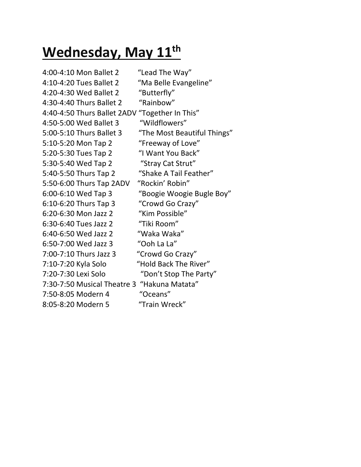## **Wednesday, May 11th**

4:00-4:10 Mon Ballet 2 "Lead The Way" 4:10-4:20 Tues Ballet 2 "Ma Belle Evangeline" 4:20-4:30 Wed Ballet 2 "Butterfly" 4:30-4:40 Thurs Ballet 2 "Rainbow" 4:40-4:50 Thurs Ballet 2ADV "Together In This" 4:50-5:00 Wed Ballet 3 "Wildflowers" 5:00-5:10 Thurs Ballet 3 "The Most Beautiful Things" 5:10-5:20 Mon Tap 2 "Freeway of Love" 5:20-5:30 Tues Tap 2 "I Want You Back" 5:30-5:40 Wed Tap 2 "Stray Cat Strut" 5:40-5:50 Thurs Tap 2 "Shake A Tail Feather" 5:50-6:00 Thurs Tap 2ADV "Rockin' Robin" 6:00-6:10 Wed Tap 3 "Boogie Woogie Bugle Boy" 6:10-6:20 Thurs Tap 3 "Crowd Go Crazy" 6:20-6:30 Mon Jazz 2 "Kim Possible" 6:30-6:40 Tues Jazz 2 "Tiki Room" 6:40-6:50 Wed Jazz 2 "Waka Waka" 6:50-7:00 Wed Jazz 3 "Ooh La La" 7:00-7:10 Thurs Jazz 3 "Crowd Go Crazy" 7:10-7:20 Kyla Solo "Hold Back The River" 7:20-7:30 Lexi Solo "Don't Stop The Party" 7:30-7:50 Musical Theatre 3 "Hakuna Matata" 7:50-8:05 Modern 4 "Oceans" 8:05-8:20 Modern 5 "Train Wreck"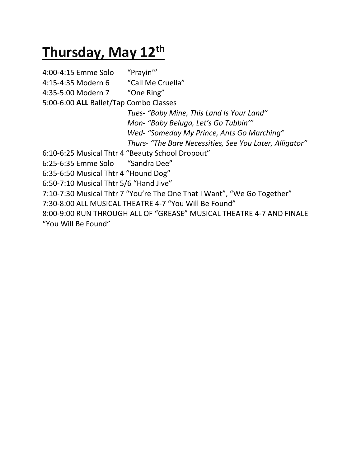# **Thursday, May 12th**

4:00-4:15 Emme Solo "Prayin'" 4:15-4:35 Modern 6 "Call Me Cruella" 4:35-5:00 Modern 7 "One Ring" 5:00-6:00 **ALL** Ballet/Tap Combo Classes *Tues*- *"Baby Mine, This Land Is Your Land" Mon- "Baby Beluga, Let's Go Tubbin'" Wed- "Someday My Prince, Ants Go Marching" Thurs- "The Bare Necessities, See You Later, Alligator"* 6:10-6:25 Musical Thtr 4 "Beauty School Dropout" 6:25-6:35 Emme Solo "Sandra Dee" 6:35-6:50 Musical Thtr 4 "Hound Dog" 6:50-7:10 Musical Thtr 5/6 "Hand Jive" 7:10-7:30 Musical Thtr 7 "You're The One That I Want", "We Go Together" 7:30-8:00 ALL MUSICAL THEATRE 4-7 "You Will Be Found" 8:00-9:00 RUN THROUGH ALL OF "GREASE" MUSICAL THEATRE 4-7 AND FINALE "You Will Be Found"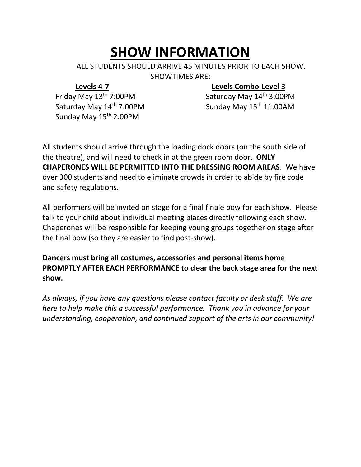## **SHOW INFORMATION**

ALL STUDENTS SHOULD ARRIVE 45 MINUTES PRIOR TO EACH SHOW. SHOWTIMES ARE:

#### **Levels 4-7 Levels Combo-Level 3**

Friday May 13<sup>th</sup> 7:00PM Saturday May 14<sup>th</sup> 3:00PM Saturday May 14<sup>th</sup> 7:00PM Sunday May 15<sup>th</sup> 11:00AM Sunday May 15<sup>th</sup> 2:00PM

All students should arrive through the loading dock doors (on the south side of the theatre), and will need to check in at the green room door. **ONLY CHAPERONES WILL BE PERMITTED INTO THE DRESSING ROOM AREAS**. We have over 300 students and need to eliminate crowds in order to abide by fire code and safety regulations.

All performers will be invited on stage for a final finale bow for each show. Please talk to your child about individual meeting places directly following each show. Chaperones will be responsible for keeping young groups together on stage after the final bow (so they are easier to find post-show).

**Dancers must bring all costumes, accessories and personal items home PROMPTLY AFTER EACH PERFORMANCE to clear the back stage area for the next show.**

*As always, if you have any questions please contact faculty or desk staff. We are here to help make this a successful performance. Thank you in advance for your understanding, cooperation, and continued support of the arts in our community!*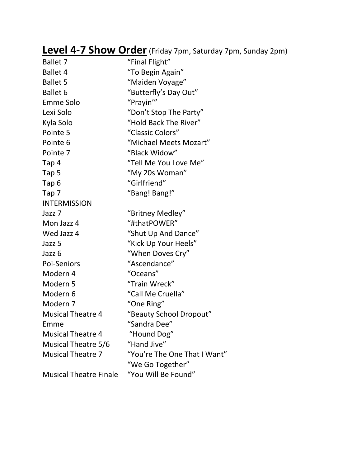#### **Level 4-7 Show Order** (Friday 7pm, Saturday 7pm, Sunday 2pm)

| <b>Ballet 7</b>               | "Final Flight"               |
|-------------------------------|------------------------------|
| <b>Ballet 4</b>               | "To Begin Again"             |
| <b>Ballet 5</b>               | "Maiden Voyage"              |
| <b>Ballet 6</b>               | "Butterfly's Day Out"        |
| <b>Emme Solo</b>              | "Prayin"                     |
| Lexi Solo                     | "Don't Stop The Party"       |
| Kyla Solo                     | "Hold Back The River"        |
| Pointe 5                      | "Classic Colors"             |
| Pointe 6                      | "Michael Meets Mozart"       |
| Pointe 7                      | "Black Widow"                |
| Tap 4                         | "Tell Me You Love Me"        |
| Tap 5                         | "My 20s Woman"               |
| Tap 6                         | "Girlfriend"                 |
| Tap 7                         | "Bang! Bang!"                |
| <b>INTERMISSION</b>           |                              |
| Jazz <sub>7</sub>             | "Britney Medley"             |
| Mon Jazz 4                    | "#thatPOWER"                 |
| Wed Jazz 4                    | "Shut Up And Dance"          |
| Jazz 5                        | "Kick Up Your Heels"         |
| Jazz 6                        | "When Doves Cry"             |
| Poi-Seniors                   | "Ascendance"                 |
| Modern 4                      | "Oceans"                     |
| Modern <sub>5</sub>           | "Train Wreck"                |
| Modern 6                      | "Call Me Cruella"            |
| Modern <sub>7</sub>           | "One Ring"                   |
| <b>Musical Theatre 4</b>      | "Beauty School Dropout"      |
| Emme                          | "Sandra Dee"                 |
| <b>Musical Theatre 4</b>      | "Hound Dog"                  |
| <b>Musical Theatre 5/6</b>    | "Hand Jive"                  |
| <b>Musical Theatre 7</b>      | "You're The One That I Want" |
|                               | "We Go Together"             |
| <b>Musical Theatre Finale</b> | "You Will Be Found"          |